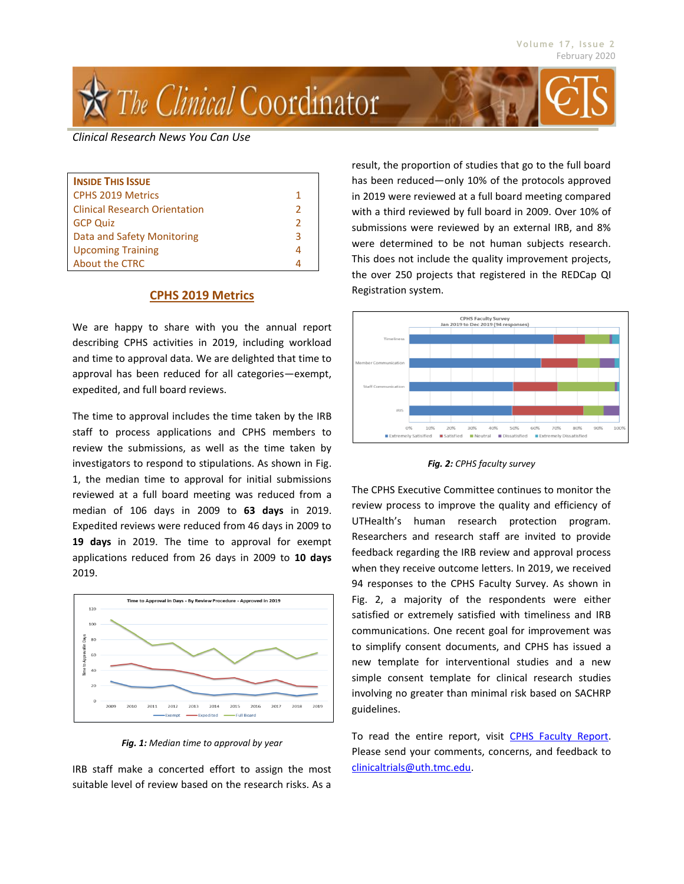

#### *Clinical Research News You Can Use*

| <b>INSIDE THIS ISSUE</b>             |               |
|--------------------------------------|---------------|
| <b>CPHS 2019 Metrics</b>             | 1             |
| <b>Clinical Research Orientation</b> | $\mathcal{P}$ |
| <b>GCP Quiz</b>                      | $\mathcal{P}$ |
| Data and Safety Monitoring           | 3             |
| <b>Upcoming Training</b>             | 4             |
| About the CTRC                       | Δ             |

#### **CPHS 2019 Metrics**

We are happy to share with you the annual report describing CPHS activities in 2019, including workload and time to approval data. We are delighted that time to approval has been reduced for all categories—exempt, expedited, and full board reviews.

The time to approval includes the time taken by the IRB staff to process applications and CPHS members to review the submissions, as well as the time taken by investigators to respond to stipulations. As shown in Fig. 1, the median time to approval for initial submissions reviewed at a full board meeting was reduced from a median of 106 days in 2009 to **63 days** in 2019. Expedited reviews were reduced from 46 days in 2009 to **19 days** in 2019. The time to approval for exempt applications reduced from 26 days in 2009 to **10 days** 2019.



*Fig. 1: Median time to approval by year*

IRB staff make a concerted effort to assign the most suitable level of review based on the research risks. As a

result, the proportion of studies that go to the full board has been reduced—only 10% of the protocols approved in 2019 were reviewed at a full board meeting compared with a third reviewed by full board in 2009. Over 10% of submissions were reviewed by an external IRB, and 8% were determined to be not human subjects research. This does not include the quality improvement projects, the over 250 projects that registered in the REDCap QI Registration system.





The CPHS Executive Committee continues to monitor the review process to improve the quality and efficiency of UTHealth's human research protection program. Researchers and research staff are invited to provide feedback regarding the IRB review and approval process when they receive outcome letters. In 2019, we received 94 responses to the CPHS Faculty Survey. As shown in Fig. 2, a majority of the respondents were either satisfied or extremely satisfied with timeliness and IRB communications. One recent goal for improvement was to simplify consent documents, and CPHS has issued a new template for interventional studies and a new simple consent template for clinical research studies involving no greater than minimal risk based on SACHRP guidelines.

To read the entire report, visit [CPHS Faculty Report.](https://www.uth.edu/cphs/metrics/CPHS%20Faculty%20Report%202019.pdf) Please send your comments, concerns, and feedback to [clinicaltrials@uth.tmc.edu.](mailto:clinicaltrials@uth.tmc.edu?subject=Comments%20and%20Feedback)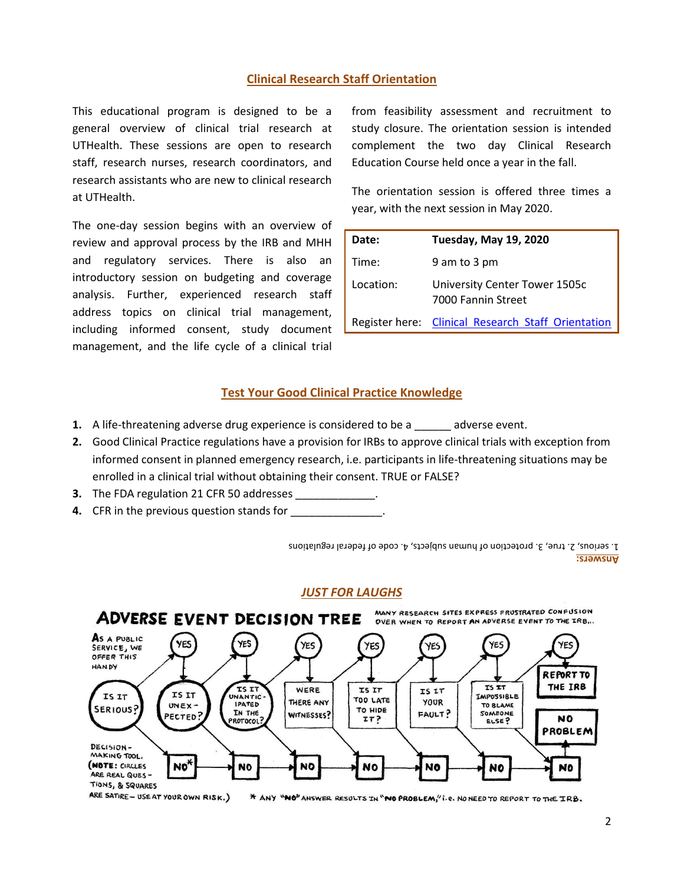# **Clinical Research Staff Orientation**

This educational program is designed to be a general overview of clinical trial research at UTHealth. These sessions are open to research staff, research nurses, research coordinators, and research assistants who are new to clinical research at UTHealth.

The one-day session begins with an overview of review and approval process by the IRB and MHH and regulatory services. There is also an introductory session on budgeting and coverage analysis. Further, experienced research staff address topics on clinical trial management, including informed consent, study document management, and the life cycle of a clinical trial

from feasibility assessment and recruitment to study closure. The orientation session is intended complement the two day Clinical Research Education Course held once a year in the fall.

The orientation session is offered three times a year, with the next session in May 2020.

| Date:     | <b>Tuesday, May 19, 2020</b>                        |
|-----------|-----------------------------------------------------|
| Time:     | 9 am to 3 pm                                        |
| Location: | University Center Tower 1505c<br>7000 Fannin Street |
|           | Register here: Clinical Research Staff Orientation  |

### **Test Your Good Clinical Practice Knowledge**

- **1.** A life-threatening adverse drug experience is considered to be a sadverse event.
- **2.** Good Clinical Practice regulations have a provision for IRBs to approve clinical trials with exception from informed consent in planned emergency research, i.e. participants in life-threatening situations may be enrolled in a clinical trial without obtaining their consent. TRUE or FALSE?
- **3.** The FDA regulation 21 CFR 50 addresses
- **4.** CFR in the previous question stands for \_\_\_\_\_\_\_\_\_\_\_\_\_\_\_

**Answers:** 1. serious, 2. true, 3. protection of human subjects, 4. code of federal regulations

# *JUST FOR LAUGHS*

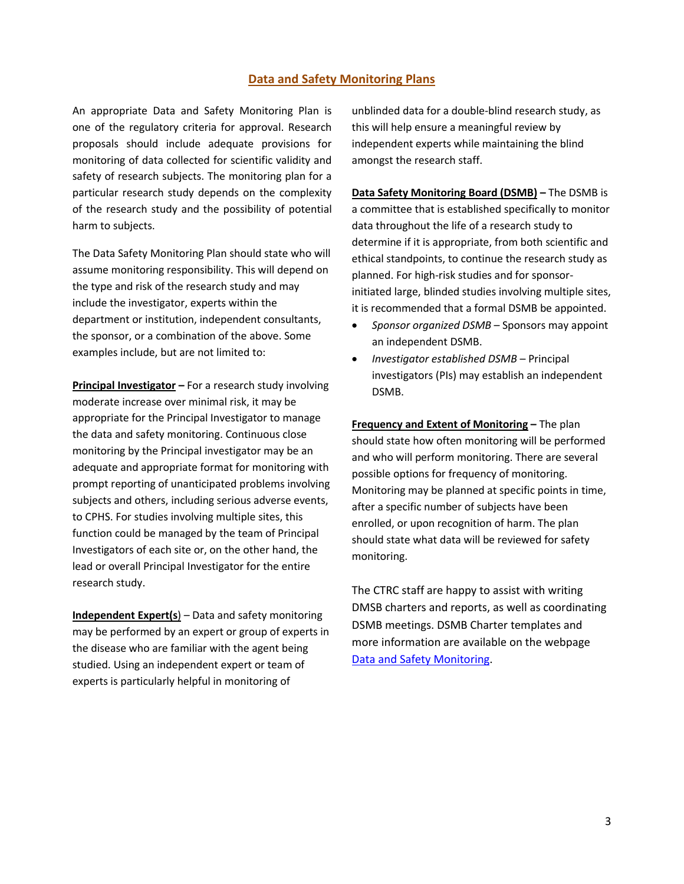### **Data and Safety Monitoring Plans**

An appropriate Data and Safety Monitoring Plan is one of the regulatory criteria for approval. Research proposals should include adequate provisions for monitoring of data collected for scientific validity and safety of research subjects. The monitoring plan for a particular research study depends on the complexity of the research study and the possibility of potential harm to subjects.

The Data Safety Monitoring Plan should state who will assume monitoring responsibility. This will depend on the type and risk of the research study and may include the investigator, experts within the department or institution, independent consultants, the sponsor, or a combination of the above. Some examples include, but are not limited to:

**Principal Investigator –** For a research study involving moderate increase over minimal risk, it may be appropriate for the Principal Investigator to manage the data and safety monitoring. Continuous close monitoring by the Principal investigator may be an adequate and appropriate format for monitoring with prompt reporting of unanticipated problems involving subjects and others, including serious adverse events, to CPHS. For studies involving multiple sites, this function could be managed by the team of Principal Investigators of each site or, on the other hand, the lead or overall Principal Investigator for the entire research study.

**Independent Expert(s**) – Data and safety monitoring may be performed by an expert or group of experts in the disease who are familiar with the agent being studied. Using an independent expert or team of experts is particularly helpful in monitoring of

unblinded data for a double-blind research study, as this will help ensure a meaningful review by independent experts while maintaining the blind amongst the research staff.

**Data Safety Monitoring Board (DSMB) –** The DSMB is a committee that is established specifically to monitor data throughout the life of a research study to determine if it is appropriate, from both scientific and ethical standpoints, to continue the research study as planned. For high-risk studies and for sponsorinitiated large, blinded studies involving multiple sites, it is recommended that a formal DSMB be appointed.

- *Sponsor organized DSMB* Sponsors may appoint an independent DSMB.
- *Investigator established DSMB* Principal investigators (PIs) may establish an independent DSMB.

**Frequency and Extent of Monitoring –** The plan should state how often monitoring will be performed and who will perform monitoring. There are several possible options for frequency of monitoring. Monitoring may be planned at specific points in time, after a specific number of subjects have been enrolled, or upon recognition of harm. The plan should state what data will be reviewed for safety monitoring.

The CTRC staff are happy to assist with writing DMSB charters and reports, as well as coordinating DSMB meetings. DSMB Charter templates and more information are available on the webpage [Data and Safety Monitoring.](https://www.uth.edu/ctrc/trial-conduct/data-safety-monitoring.htm)